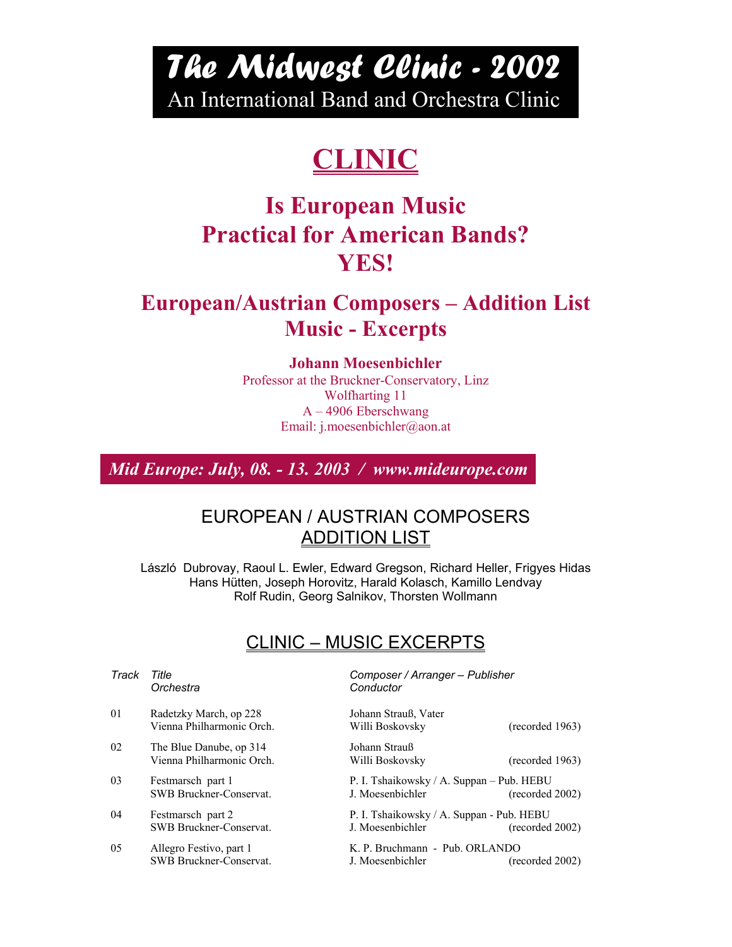# *The Midwest Clinic - 2002*  An International Band and Orchestra Clinic

# **CLINIC**

## **Is European Music Practical for American Bands? YES!**

### **European/Austrian Composers – Addition List Music - Excerpts**

#### **Johann Moesenbichler**

Professor at the Bruckner-Conservatory, Linz Wolfharting 11 A – 4906 Eberschwang Email: j.moesenbichler@aon.at

*Mid Europe: July, 08. - 13. 2003 / www.mideurope.com* 

### EUROPEAN / AUSTRIAN COMPOSERS ADDITION LIST

László Dubrovay, Raoul L. Ewler, Edward Gregson, Richard Heller, Frigyes Hidas Hans Hütten, Joseph Horovitz, Harald Kolasch, Kamillo Lendvay Rolf Rudin, Georg Salnikov, Thorsten Wollmann

### CLINIC – MUSIC EXCERPTS

| Track | Title<br>Orchestra                                   | Composer / Arranger - Publisher<br>Conductor                                     |
|-------|------------------------------------------------------|----------------------------------------------------------------------------------|
| 01    | Radetzky March, op 228<br>Vienna Philharmonic Orch.  | Johann Strauß, Vater<br>Willi Boskovsky<br>(recorded 1963)                       |
| 02    | The Blue Danube, op 314<br>Vienna Philharmonic Orch. | Johann Strauß<br>(recorded 1963)<br>Willi Boskovsky                              |
| 03    | Festmarsch part 1<br>SWB Bruckner-Conservat.         | P. I. Tshaikowsky / A. Suppan - Pub. HEBU<br>J. Moesenbichler<br>(recorded 2002) |
| 04    | Festmarsch part 2<br><b>SWB Bruckner-Conservat.</b>  | P. I. Tshaikowsky / A. Suppan - Pub. HEBU<br>J. Moesenbichler<br>(recorded 2002) |
| 05    | Allegro Festivo, part 1<br>SWB Bruckner-Conservat.   | K. P. Bruchmann - Pub. ORLANDO<br>J. Moesenbichler<br>(recorded 2002)            |
|       |                                                      |                                                                                  |